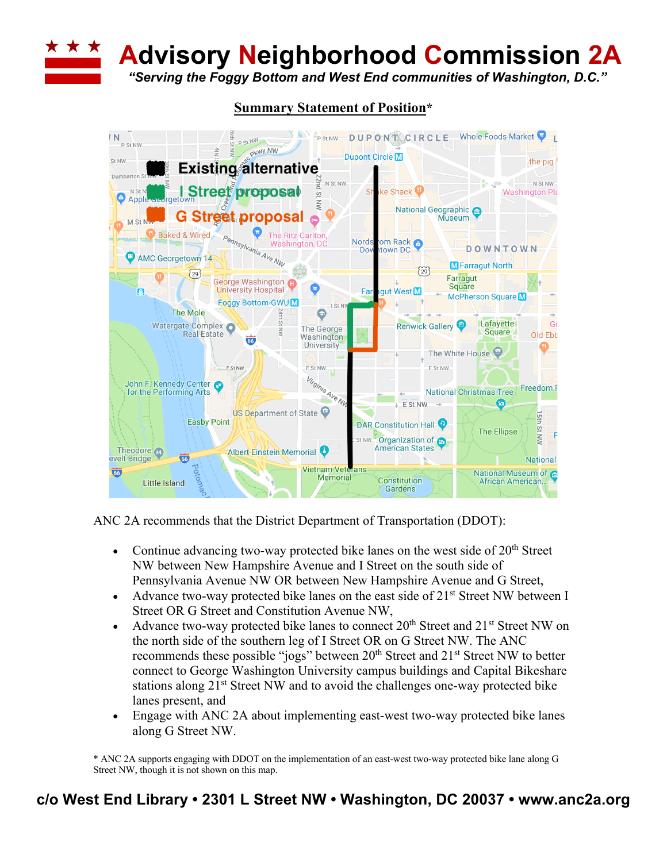**Advisory Neighborhood Commission 2A**

*"Serving the Foggy Bottom and West End communities of Washington, D.C."*



## **Summary Statement of Position\***

ANC 2A recommends that the District Department of Transportation (DDOT):

- Continue advancing two-way protected bike lanes on the west side of  $20<sup>th</sup>$  Street NW between New Hampshire Avenue and I Street on the south side of Pennsylvania Avenue NW OR between New Hampshire Avenue and G Street,
- Advance two-way protected bike lanes on the east side of  $21<sup>st</sup>$  Street NW between I Street OR G Street and Constitution Avenue NW,
- Advance two-way protected bike lanes to connect 20<sup>th</sup> Street and 21<sup>st</sup> Street NW on the north side of the southern leg of I Street OR on G Street NW. The ANC recommends these possible "jogs" between 20<sup>th</sup> Street and 21<sup>st</sup> Street NW to better connect to George Washington University campus buildings and Capital Bikeshare stations along 21<sup>st</sup> Street NW and to avoid the challenges one-way protected bike lanes present, and
- Engage with ANC 2A about implementing east-west two-way protected bike lanes along G Street NW.

\* ANC 2A supports engaging with DDOT on the implementation of an east-west two-way protected bike lane along G Street NW, though it is not shown on this map.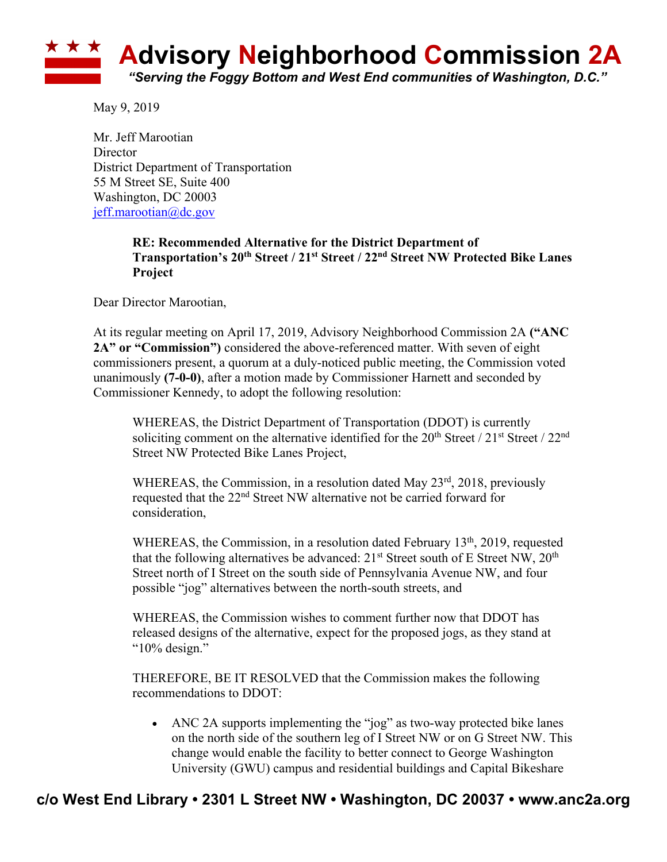

May 9, 2019

Mr. Jeff Marootian **Director** District Department of Transportation 55 M Street SE, Suite 400 Washington, DC 20003 jeff.marootian@dc.gov

## **RE: Recommended Alternative for the District Department of Transportation's 20th Street / 21st Street / 22nd Street NW Protected Bike Lanes Project**

Dear Director Marootian,

At its regular meeting on April 17, 2019, Advisory Neighborhood Commission 2A **("ANC 2A" or "Commission")** considered the above-referenced matter. With seven of eight commissioners present, a quorum at a duly-noticed public meeting, the Commission voted unanimously **(7-0-0)**, after a motion made by Commissioner Harnett and seconded by Commissioner Kennedy, to adopt the following resolution:

WHEREAS, the District Department of Transportation (DDOT) is currently soliciting comment on the alternative identified for the  $20<sup>th</sup>$  Street /  $21<sup>st</sup>$  Street /  $22<sup>nd</sup>$ Street NW Protected Bike Lanes Project,

WHEREAS, the Commission, in a resolution dated May 23<sup>rd</sup>, 2018, previously requested that the 22nd Street NW alternative not be carried forward for consideration,

WHEREAS, the Commission, in a resolution dated February 13<sup>th</sup>, 2019, requested that the following alternatives be advanced:  $21<sup>st</sup>$  Street south of E Street NW,  $20<sup>th</sup>$ Street north of I Street on the south side of Pennsylvania Avenue NW, and four possible "jog" alternatives between the north-south streets, and

WHEREAS, the Commission wishes to comment further now that DDOT has released designs of the alternative, expect for the proposed jogs, as they stand at "10% design."

THEREFORE, BE IT RESOLVED that the Commission makes the following recommendations to DDOT:

• ANC 2A supports implementing the "jog" as two-way protected bike lanes on the north side of the southern leg of I Street NW or on G Street NW. This change would enable the facility to better connect to George Washington University (GWU) campus and residential buildings and Capital Bikeshare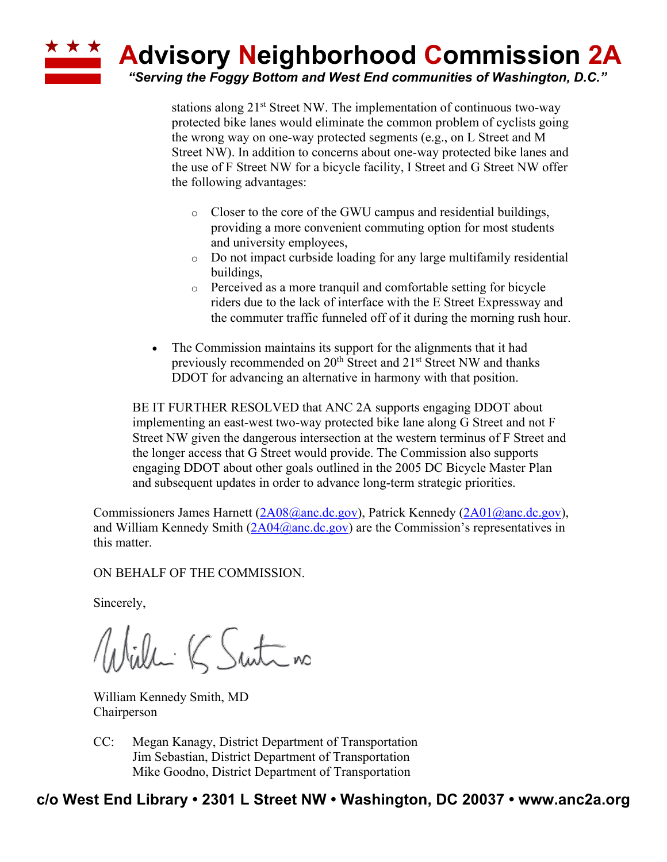## **Advisory Neighborhood Commission 2A** *"Serving the Foggy Bottom and West End communities of Washington, D.C."*

stations along  $21<sup>st</sup>$  Street NW. The implementation of continuous two-way protected bike lanes would eliminate the common problem of cyclists going the wrong way on one-way protected segments (e.g., on L Street and M Street NW). In addition to concerns about one-way protected bike lanes and the use of F Street NW for a bicycle facility, I Street and G Street NW offer the following advantages:

- o Closer to the core of the GWU campus and residential buildings, providing a more convenient commuting option for most students and university employees,
- o Do not impact curbside loading for any large multifamily residential buildings,
- o Perceived as a more tranquil and comfortable setting for bicycle riders due to the lack of interface with the E Street Expressway and the commuter traffic funneled off of it during the morning rush hour.
- The Commission maintains its support for the alignments that it had previously recommended on 20<sup>th</sup> Street and 21<sup>st</sup> Street NW and thanks DDOT for advancing an alternative in harmony with that position.

BE IT FURTHER RESOLVED that ANC 2A supports engaging DDOT about implementing an east-west two-way protected bike lane along G Street and not F Street NW given the dangerous intersection at the western terminus of F Street and the longer access that G Street would provide. The Commission also supports engaging DDOT about other goals outlined in the 2005 DC Bicycle Master Plan and subsequent updates in order to advance long-term strategic priorities.

Commissioners James Harnett (2A08@anc.dc.gov), Patrick Kennedy (2A01@anc.dc.gov), and William Kennedy Smith  $(2A04@anc,dc.gov)$  are the Commission's representatives in this matter.

ON BEHALF OF THE COMMISSION.

Sincerely,

Willi K Suite no

William Kennedy Smith, MD Chairperson

CC: Megan Kanagy, District Department of Transportation Jim Sebastian, District Department of Transportation Mike Goodno, District Department of Transportation

## **c/o West End Library • 2301 L Street NW • Washington, DC 20037 • www.anc2a.org**